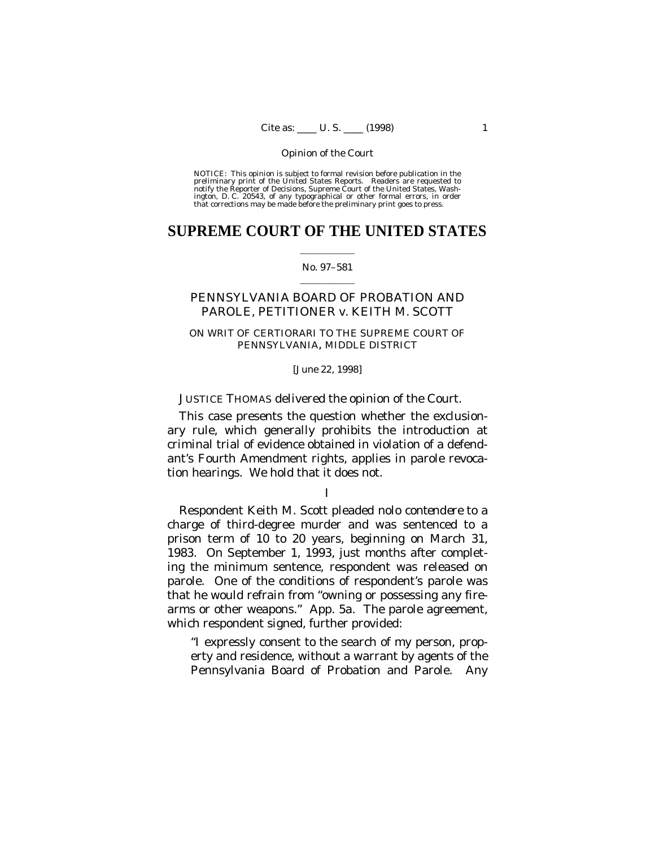NOTICE: This opinion is subject to formal revision before publication in the preliminary print of the United States Reports. Readers are requested to notify the Reporter of Decisions, Supreme Court of the United States, Wa

# **SUPREME COURT OF THE UNITED STATES**  $\mathcal{L}_\text{max}$  and  $\mathcal{L}_\text{max}$

#### No. 97–581  $\mathcal{L}_\text{max}$  and  $\mathcal{L}_\text{max}$

# PENNSYLVANIA BOARD OF PROBATION AND PAROLE, PETITIONER *v.* KEITH M. SCOTT

# ON WRIT OF CERTIORARI TO THE SUPREME COURT OF PENNSYLVANIA, MIDDLE DISTRICT

# [June 22, 1998]

JUSTICE THOMAS delivered the opinion of the Court.

This case presents the question whether the exclusionary rule, which generally prohibits the introduction at criminal trial of evidence obtained in violation of a defendant's Fourth Amendment rights, applies in parole revocation hearings. We hold that it does not.

I

Respondent Keith M. Scott pleaded *nolo contendere* to a charge of third-degree murder and was sentenced to a prison term of 10 to 20 years, beginning on March 31, 1983. On September 1, 1993, just months after completing the minimum sentence, respondent was released on parole. One of the conditions of respondent's parole was that he would refrain from "owning or possessing any firearms or other weapons." App. 5a. The parole agreement, which respondent signed, further provided:

"I expressly consent to the search of my person, property and residence, without a warrant by agents of the Pennsylvania Board of Probation and Parole. Any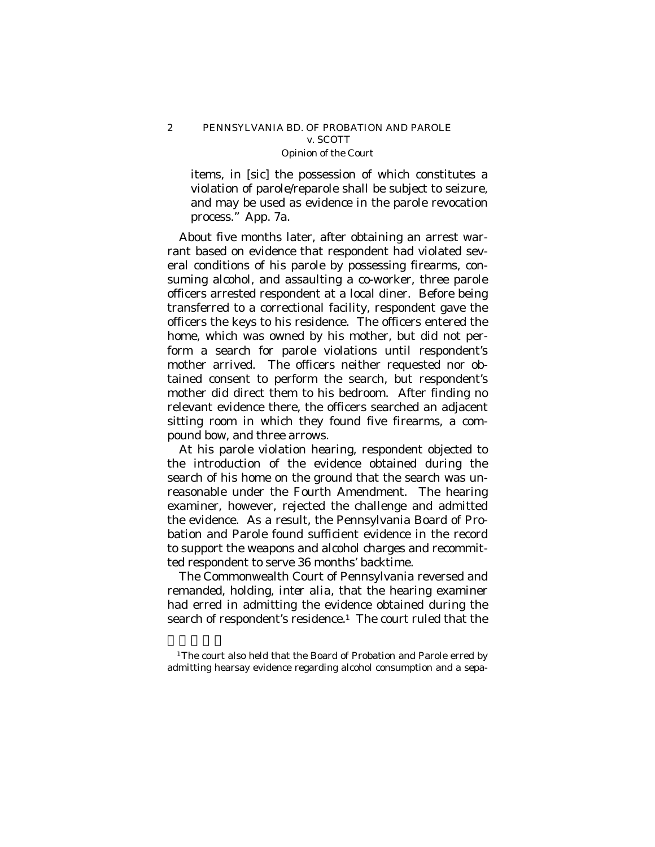items, in *[sic]* the possession of which constitutes a violation of parole/reparole shall be subject to seizure, and may be used as evidence in the parole revocation process." App. 7a.

About five months later, after obtaining an arrest warrant based on evidence that respondent had violated several conditions of his parole by possessing firearms, consuming alcohol, and assaulting a co-worker, three parole officers arrested respondent at a local diner. Before being transferred to a correctional facility, respondent gave the officers the keys to his residence. The officers entered the home, which was owned by his mother, but did not perform a search for parole violations until respondent's mother arrived. The officers neither requested nor obtained consent to perform the search, but respondent's mother did direct them to his bedroom. After finding no relevant evidence there, the officers searched an adjacent sitting room in which they found five firearms, a compound bow, and three arrows.

At his parole violation hearing, respondent objected to the introduction of the evidence obtained during the search of his home on the ground that the search was unreasonable under the Fourth Amendment. The hearing examiner, however, rejected the challenge and admitted the evidence. As a result, the Pennsylvania Board of Probation and Parole found sufficient evidence in the record to support the weapons and alcohol charges and recommitted respondent to serve 36 months' backtime.

The Commonwealth Court of Pennsylvania reversed and remanded, holding, *inter alia*, that the hearing examiner had erred in admitting the evidence obtained during the search of respondent's residence.<sup>1</sup> The court ruled that the

<sup>&</sup>lt;sup>1</sup>The court also held that the Board of Probation and Parole erred by admitting hearsay evidence regarding alcohol consumption and a sepa-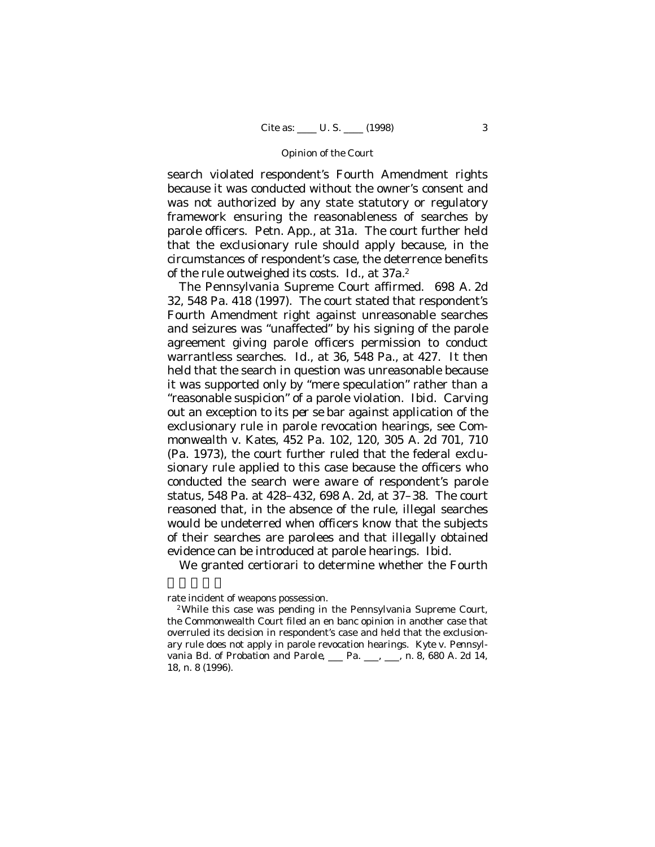search violated respondent's Fourth Amendment rights because it was conducted without the owner's consent and was not authorized by any state statutory or regulatory framework ensuring the reasonableness of searches by parole officers. Petn. App., at 31a. The court further held that the exclusionary rule should apply because, in the circumstances of respondent's case, the deterrence benefits of the rule outweighed its costs. *Id.,* at 37a.<sup>2</sup>

The Pennsylvania Supreme Court affirmed. 698 A. 2d 32, 548 Pa. 418 (1997). The court stated that respondent's Fourth Amendment right against unreasonable searches and seizures was "unaffected" by his signing of the parole agreement giving parole officers permission to conduct warrantless searches. *Id.*, at 36, 548 Pa., at 427. It then held that the search in question was unreasonable because it was supported only by "mere speculation" rather than a "reasonable suspicion" of a parole violation. *Ibid.* Carving out an exception to its *per se* bar against application of the exclusionary rule in parole revocation hearings, see *Commonwealth* v. *Kates*, 452 Pa. 102, 120, 305 A. 2d 701, 710 (Pa. 1973), the court further ruled that the federal exclusionary rule applied to this case because the officers who conducted the search were aware of respondent's parole status, 548 Pa. at 428–432, 698 A. 2d, at 37–38. The court reasoned that, in the absence of the rule, illegal searches would be undeterred when officers know that the subjects of their searches are parolees and that illegally obtained evidence can be introduced at parole hearings. *Ibid.*

We granted certiorari to determine whether the Fourth

rate incident of weapons possession.

<sup>2</sup>While this case was pending in the Pennsylvania Supreme Court, the Commonwealth Court filed an en banc opinion in another case that overruled its decision in respondent's case and held that the exclusionary rule does not apply in parole revocation hearings. *Kyte* v. *Pennsylvania Bd. of Probation and Parole*, \_\_\_ Pa. \_\_\_, \_\_\_, n. 8, 680 A. 2d 14, 18, n. 8 (1996).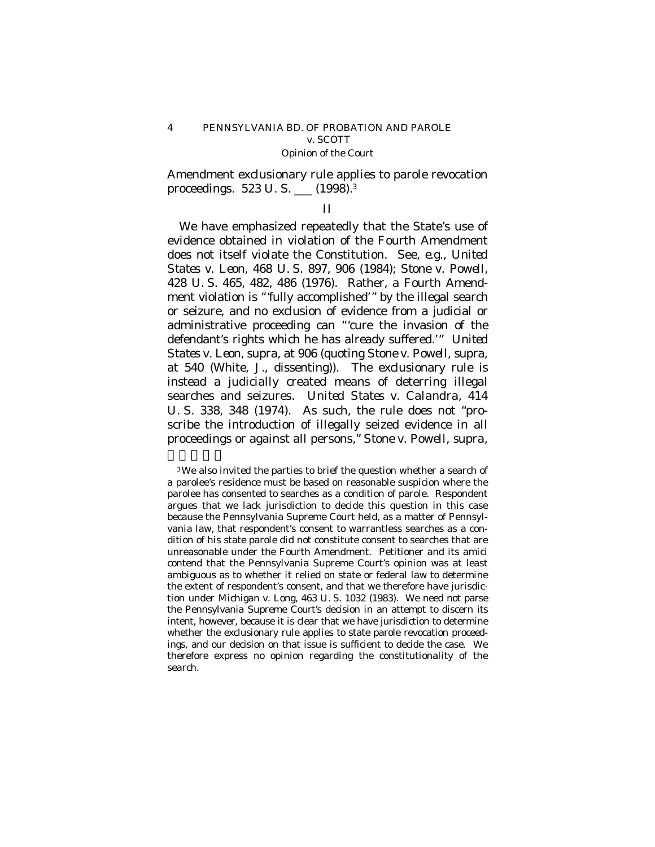Amendment exclusionary rule applies to parole revocation proceedings. 523 U. S. \_\_\_ (1998).<sup>3</sup>

# II

We have emphasized repeatedly that the State's use of evidence obtained in violation of the Fourth Amendment does not itself violate the Constitution. See, *e.g., United States* v. *Leon,* 468 U. S. 897, 906 (1984); *Stone* v. *Powell,* 428 U. S. 465, 482, 486 (1976). Rather, a Fourth Amendment violation is "'fully accomplished'" by the illegal search or seizure, and no exclusion of evidence from a judicial or administrative proceeding can "'cure the invasion of the defendant's rights which he has already suffered.'" *United States* v. *Leon, supra*, at 906 (quoting *Stone* v. *Powell*, *supra*, at 540 (White, J., dissenting)). The exclusionary rule is instead a judicially created means of deterring illegal searches and seizures. *United States* v. *Calandra*, 414 U. S. 338, 348 (1974). As such, the rule does not "proscribe the introduction of illegally seized evidence in all proceedings or against all persons," *Stone* v. *Powell*, *supra*,

<sup>3</sup>We also invited the parties to brief the question whether a search of a parolee's residence must be based on reasonable suspicion where the parolee has consented to searches as a condition of parole. Respondent argues that we lack jurisdiction to decide this question in this case because the Pennsylvania Supreme Court held, as a matter of Pennsylvania law, that respondent's consent to warrantless searches as a condition of his state parole did not constitute consent to searches that are unreasonable under the Fourth Amendment. Petitioner and its *amici* contend that the Pennsylvania Supreme Court's opinion was at least ambiguous as to whether it relied on state or federal law to determine the extent of respondent's consent, and that we therefore have jurisdiction under *Michigan* v. *Long,* 463 U. S. 1032 (1983). We need not parse the Pennsylvania Supreme Court's decision in an attempt to discern its intent, however, because it is clear that we have jurisdiction to determine whether the exclusionary rule applies to state parole revocation proceedings, and our decision on that issue is sufficient to decide the case. We therefore express no opinion regarding the constitutionality of the search.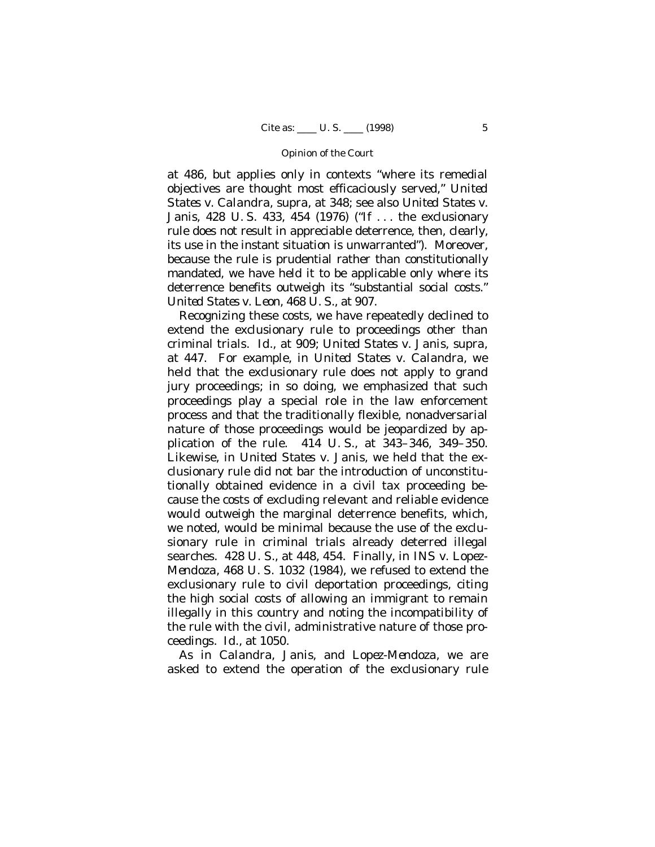at 486, but applies only in contexts "where its remedial objectives are thought most efficaciously served," *United States* v. *Calandra*, *supra*, at 348; see also *United States* v. *Janis,* 428 U. S. 433, 454 (1976) ("If . . . the exclusionary rule does not result in appreciable deterrence, then, clearly, its use in the instant situation is unwarranted"). Moreover, because the rule is prudential rather than constitutionally mandated, we have held it to be applicable only where its deterrence benefits outweigh its "substantial social costs." *United States* v. *Leon*, 468 U. S., at 907.

Recognizing these costs, we have repeatedly declined to extend the exclusionary rule to proceedings other than criminal trials. *Id.,* at 909; *United States* v. *Janis, supra*, at 447. For example, in *United States* v. *Calandra*, we held that the exclusionary rule does not apply to grand jury proceedings; in so doing, we emphasized that such proceedings play a special role in the law enforcement process and that the traditionally flexible, nonadversarial nature of those proceedings would be jeopardized by application of the rule. 414 U. S., at 343–346, 349–350. Likewise, in *United States* v. *Janis*, we held that the exclusionary rule did not bar the introduction of unconstitutionally obtained evidence in a civil tax proceeding because the costs of excluding relevant and reliable evidence would outweigh the marginal deterrence benefits, which, we noted, would be minimal because the use of the exclusionary rule in criminal trials already deterred illegal searches. 428 U. S., at 448, 454. Finally, in *INS* v. *Lopez-Mendoza,* 468 U. S. 1032 (1984), we refused to extend the exclusionary rule to civil deportation proceedings, citing the high social costs of allowing an immigrant to remain illegally in this country and noting the incompatibility of the rule with the civil, administrative nature of those proceedings. *Id.,* at 1050.

As in *Calandra*, *Janis*, and *Lopez-Mendoza*, we are asked to extend the operation of the exclusionary rule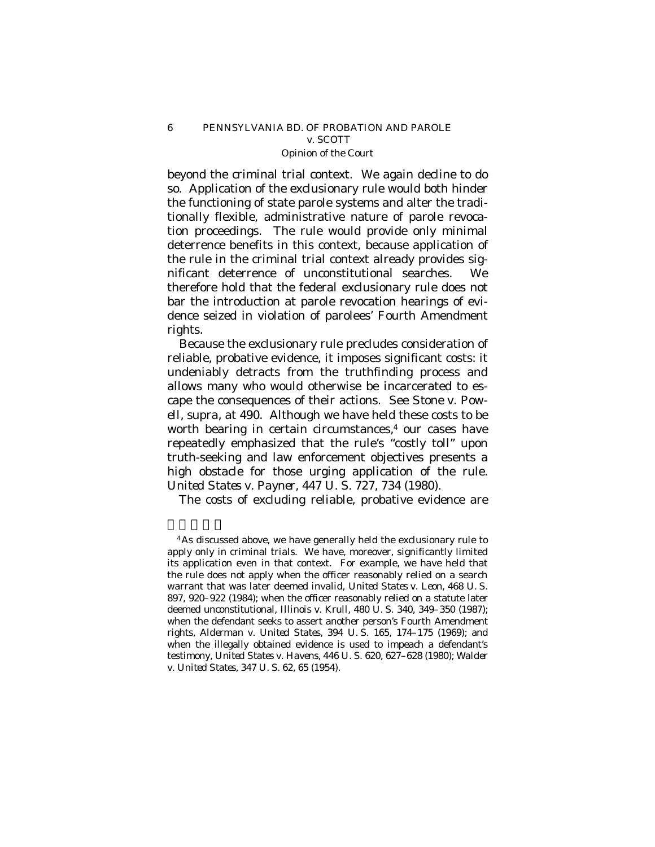beyond the criminal trial context. We again decline to do so. Application of the exclusionary rule would both hinder the functioning of state parole systems and alter the traditionally flexible, administrative nature of parole revocation proceedings. The rule would provide only minimal deterrence benefits in this context, because application of the rule in the criminal trial context already provides significant deterrence of unconstitutional searches. We therefore hold that the federal exclusionary rule does not bar the introduction at parole revocation hearings of evidence seized in violation of parolees' Fourth Amendment rights.

Because the exclusionary rule precludes consideration of reliable, probative evidence, it imposes significant costs: it undeniably detracts from the truthfinding process and allows many who would otherwise be incarcerated to escape the consequences of their actions. See *Stone* v. *Powell, supra*, at 490. Although we have held these costs to be worth bearing in certain circumstances,<sup>4</sup> our cases have repeatedly emphasized that the rule's "costly toll" upon truth-seeking and law enforcement objectives presents a high obstacle for those urging application of the rule. *United States* v. *Payner,* 447 U. S. 727, 734 (1980).

The costs of excluding reliable, probative evidence are

<sup>4</sup>As discussed above, we have generally held the exclusionary rule to apply only in criminal trials. We have, moreover, significantly limited its application even in that context. For example, we have held that the rule does not apply when the officer reasonably relied on a search warrant that was later deemed invalid, *United States* v. *Leon,* 468 U. S. 897, 920–922 (1984); when the officer reasonably relied on a statute later deemed unconstitutional, *Illinois* v. *Krull,* 480 U. S. 340, 349–350 (1987); when the defendant seeks to assert another person's Fourth Amendment rights, *Alderman* v. *United States,* 394 U. S. 165, 174–175 (1969); and when the illegally obtained evidence is used to impeach a defendant's testimony, *United States* v. *Havens,* 446 U. S. 620, 627–628 (1980); *Walder* v. *United States,* 347 U. S. 62, 65 (1954).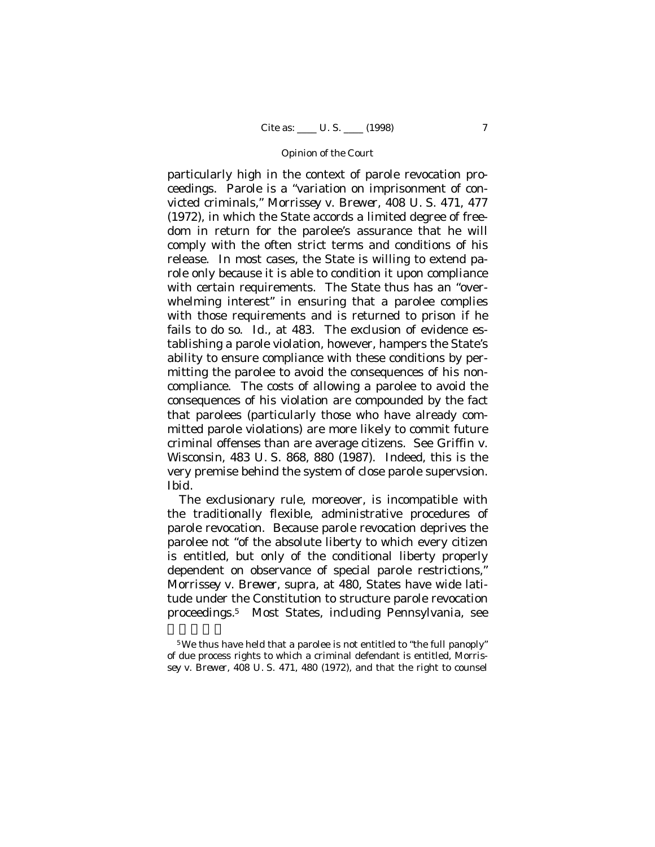particularly high in the context of parole revocation proceedings. Parole is a "variation on imprisonment of convicted criminals," *Morrissey* v. *Brewer*, 408 U. S. 471, 477 (1972), in which the State accords a limited degree of freedom in return for the parolee's assurance that he will comply with the often strict terms and conditions of his release. In most cases, the State is willing to extend parole only because it is able to condition it upon compliance with certain requirements. The State thus has an "overwhelming interest" in ensuring that a parolee complies with those requirements and is returned to prison if he fails to do so. *Id.*, at 483. The exclusion of evidence establishing a parole violation, however, hampers the State's ability to ensure compliance with these conditions by permitting the parolee to avoid the consequences of his noncompliance. The costs of allowing a parolee to avoid the consequences of his violation are compounded by the fact that parolees (particularly those who have already committed parole violations) are more likely to commit future criminal offenses than are average citizens. See *Griffin* v. *Wisconsin,* 483 U. S. 868, 880 (1987). Indeed, this is the very premise behind the system of close parole supervsion. *Ibid.*

The exclusionary rule, moreover, is incompatible with the traditionally flexible, administrative procedures of parole revocation. Because parole revocation deprives the parolee not "of the absolute liberty to which every citizen is entitled, but only of the conditional liberty properly dependent on observance of special parole restrictions," *Morrissey* v. *Brewer*, *supra,* at 480, States have wide latitude under the Constitution to structure parole revocation proceedings.<sup>5</sup> Most States, including Pennsylvania, see

<sup>5</sup>We thus have held that a parolee is not entitled to "the full panoply" of due process rights to which a criminal defendant is entitled, *Morrissey* v. *Brewer,* 408 U. S. 471, 480 (1972), and that the right to counsel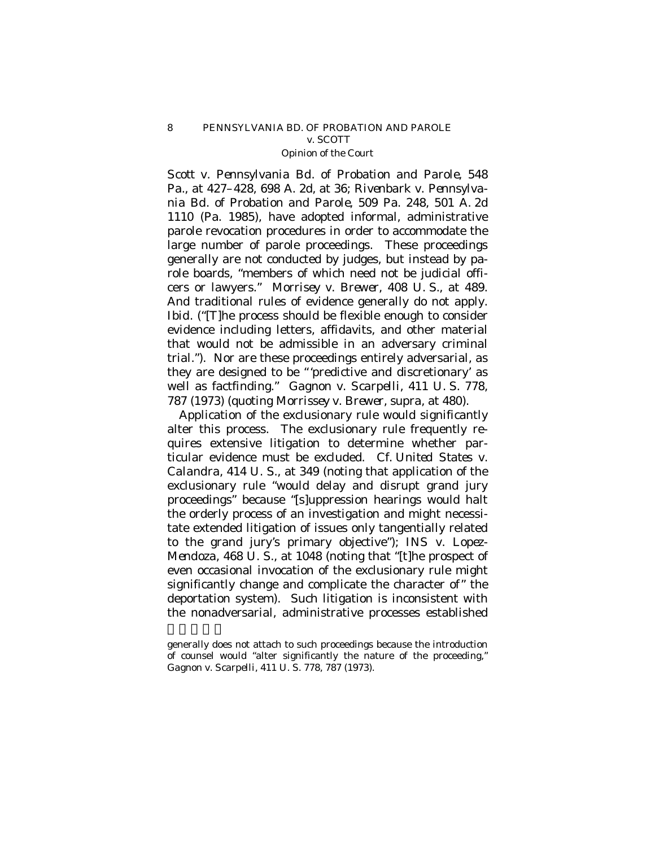# 8 PENNSYLVANIA BD. OF PROBATION AND PAROLE *v.* SCOTT Opinion of the Court

*Scott* v. *Pennsylvania Bd. of Probation and Parole*, 548 Pa., at 427–428, 698 A. 2d, at 36; *Rivenbark* v. *Pennsylvania Bd. of Probation and Parole*, 509 Pa. 248, 501 A. 2d 1110 (Pa. 1985), have adopted informal, administrative parole revocation procedures in order to accommodate the large number of parole proceedings. These proceedings generally are not conducted by judges, but instead by parole boards, "members of which need not be judicial officers or lawyers." *Morrisey* v. *Brewer*, 408 U. S., at 489. And traditional rules of evidence generally do not apply. *Ibid.* ("[T]he process should be flexible enough to consider evidence including letters, affidavits, and other material that would not be admissible in an adversary criminal trial."). Nor are these proceedings entirely adversarial, as they are designed to be "'predictive and discretionary' as well as factfinding." *Gagnon* v. *Scarpelli,* 411 U. S. 778, 787 (1973) (quoting *Morrissey* v. *Brewer*, *supra*, at 480).

Application of the exclusionary rule would significantly alter this process. The exclusionary rule frequently requires extensive litigation to determine whether particular evidence must be excluded. Cf. *United States* v. *Calandra*, 414 U. S., at 349 (noting that application of the exclusionary rule "would delay and disrupt grand jury proceedings" because "[s]uppression hearings would halt the orderly process of an investigation and might necessitate extended litigation of issues only tangentially related to the grand jury's primary objective"); *INS* v. *Lopez-Mendoza*, 468 U. S., at 1048 (noting that "[t]he prospect of even occasional invocation of the exclusionary rule might significantly change and complicate the character of" the deportation system). Such litigation is inconsistent with the nonadversarial, administrative processes established

generally does not attach to such proceedings because the introduction of counsel would "alter significantly the nature of the proceeding," *Gagnon* v. *Scarpelli,* 411 U. S. 778, 787 (1973).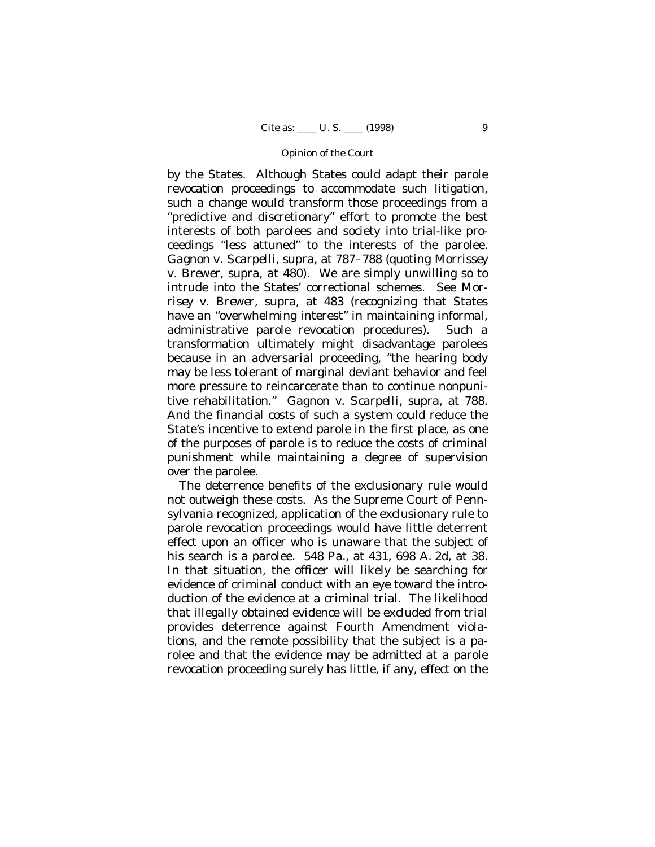by the States. Although States could adapt their parole revocation proceedings to accommodate such litigation, such a change would transform those proceedings from a "predictive and discretionary" effort to promote the best interests of both parolees and society into trial-like proceedings "less attuned" to the interests of the parolee. *Gagnon* v. *Scarpelli*, *supra*, at 787–788 (quoting *Morrissey* v. *Brewer*, *supra*, at 480). We are simply unwilling so to intrude into the States' correctional schemes. See *Morrisey* v. *Brewer*, *supra*, at 483 (recognizing that States have an "overwhelming interest" in maintaining informal, administrative parole revocation procedures). Such a transformation ultimately might disadvantage parolees because in an adversarial proceeding, "the hearing body may be less tolerant of marginal deviant behavior and feel more pressure to reincarcerate than to continue nonpunitive rehabilitation." *Gagnon* v. *Scarpelli*, *supra*, at 788. And the financial costs of such a system could reduce the State's incentive to extend parole in the first place, as one of the purposes of parole is to reduce the costs of criminal punishment while maintaining a degree of supervision over the parolee.

The deterrence benefits of the exclusionary rule would not outweigh these costs. As the Supreme Court of Pennsylvania recognized, application of the exclusionary rule to parole revocation proceedings would have little deterrent effect upon an officer who is unaware that the subject of his search is a parolee. 548 Pa., at 431, 698 A. 2d, at 38. In that situation, the officer will likely be searching for evidence of criminal conduct with an eye toward the introduction of the evidence at a criminal trial. The likelihood that illegally obtained evidence will be excluded from trial provides deterrence against Fourth Amendment violations, and the remote possibility that the subject is a parolee and that the evidence may be admitted at a parole revocation proceeding surely has little, if any, effect on the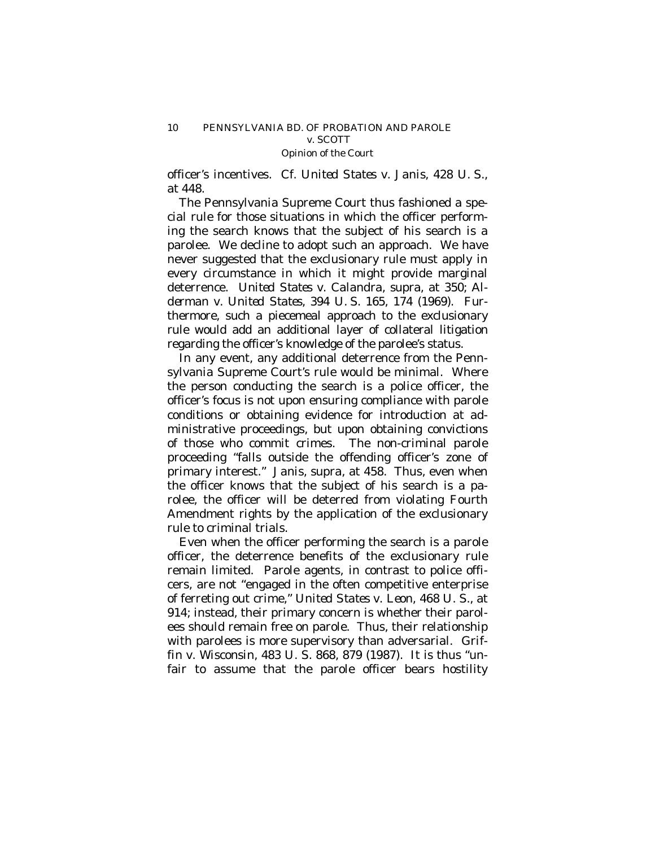officer's incentives. Cf. *United States* v. *Janis*, 428 U. S., at 448.

The Pennsylvania Supreme Court thus fashioned a special rule for those situations in which the officer performing the search knows that the subject of his search is a parolee. We decline to adopt such an approach. We have never suggested that the exclusionary rule must apply in every circumstance in which it might provide marginal deterrence. *United States* v. *Calandra, supra*, at 350; *Alderman* v. *United States,* 394 U. S. 165, 174 (1969). Furthermore, such a piecemeal approach to the exclusionary rule would add an additional layer of collateral litigation regarding the officer's knowledge of the parolee's status.

In any event, any additional deterrence from the Pennsylvania Supreme Court's rule would be minimal. Where the person conducting the search is a police officer, the officer's focus is not upon ensuring compliance with parole conditions or obtaining evidence for introduction at administrative proceedings, but upon obtaining convictions of those who commit crimes. The non-criminal parole proceeding "falls outside the offending officer's zone of primary interest." *Janis*, *supra*, at 458. Thus, even when the officer knows that the subject of his search is a parolee, the officer will be deterred from violating Fourth Amendment rights by the application of the exclusionary rule to criminal trials.

Even when the officer performing the search is a parole officer, the deterrence benefits of the exclusionary rule remain limited. Parole agents, in contrast to police officers, are not "engaged in the often competitive enterprise of ferreting out crime," *United States* v. *Leon,* 468 U. S., at 914; instead, their primary concern is whether their parolees should remain free on parole. Thus, their relationship with parolees is more supervisory than adversarial. *Griffin* v. *Wisconsin,* 483 U. S. 868, 879 (1987). It is thus "unfair to assume that the parole officer bears hostility